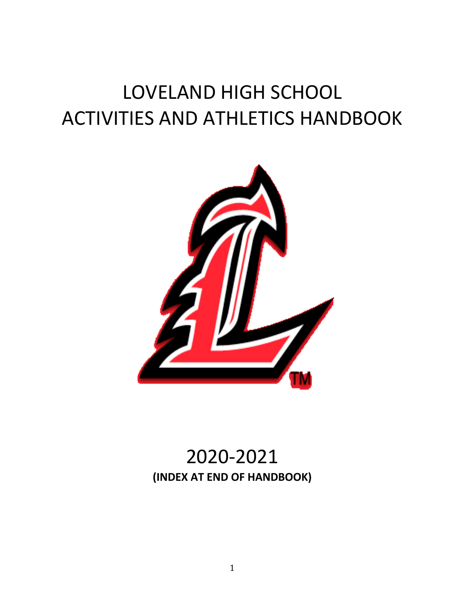# LOVELAND HIGH SCHOOL ACTIVITIES AND ATHLETICS HANDBOOK



## 2020-2021 **(INDEX AT END OF HANDBOOK)**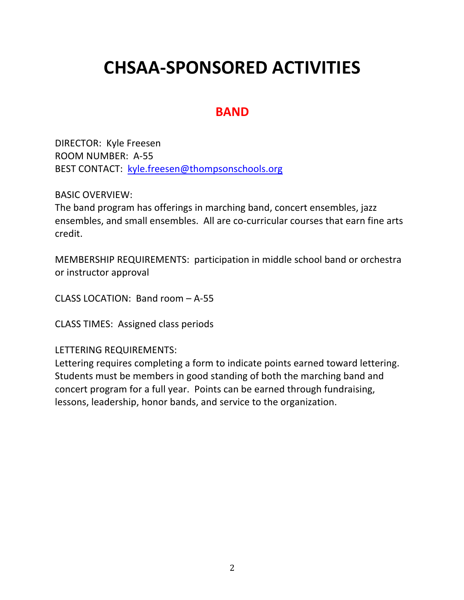# **CHSAA-SPONSORED ACTIVITIES**

### **BAND**

DIRECTOR: Kyle Freesen ROOM NUMBER: A-55 BEST CONTACT: kyle.freesen@thompsonschools.org

BASIC OVERVIEW:

The band program has offerings in marching band, concert ensembles, jazz ensembles, and small ensembles. All are co-curricular courses that earn fine arts credit.

MEMBERSHIP REQUIREMENTS: participation in middle school band or orchestra or instructor approval

CLASS LOCATION: Band room – A-55

CLASS TIMES: Assigned class periods

LETTERING REQUIREMENTS:

Lettering requires completing a form to indicate points earned toward lettering. Students must be members in good standing of both the marching band and concert program for a full year. Points can be earned through fundraising, lessons, leadership, honor bands, and service to the organization.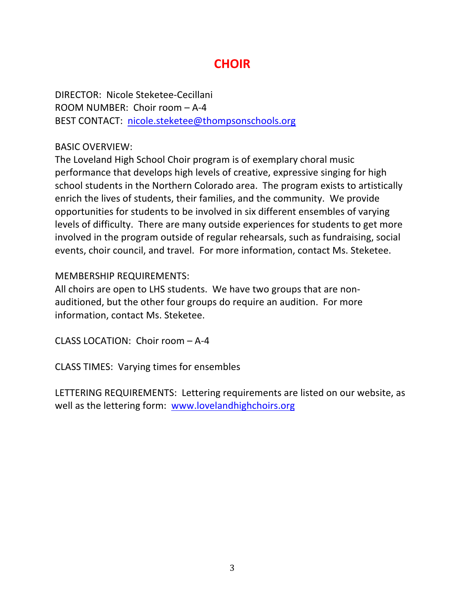### **CHOIR**

DIRECTOR: Nicole Steketee-Cecillani ROOM NUMBER: Choir room – A-4 BEST CONTACT: nicole.steketee@thompsonschools.org

#### BASIC OVERVIEW:

The Loveland High School Choir program is of exemplary choral music performance that develops high levels of creative, expressive singing for high school students in the Northern Colorado area. The program exists to artistically enrich the lives of students, their families, and the community. We provide opportunities for students to be involved in six different ensembles of varying levels of difficulty. There are many outside experiences for students to get more involved in the program outside of regular rehearsals, such as fundraising, social events, choir council, and travel. For more information, contact Ms. Steketee.

#### MEMBERSHIP REQUIREMENTS:

All choirs are open to LHS students. We have two groups that are nonauditioned, but the other four groups do require an audition. For more information, contact Ms. Steketee.

CLASS LOCATION: Choir room – A-4

CLASS TIMES: Varying times for ensembles

LETTERING REQUIREMENTS: Lettering requirements are listed on our website, as well as the lettering form: www.lovelandhighchoirs.org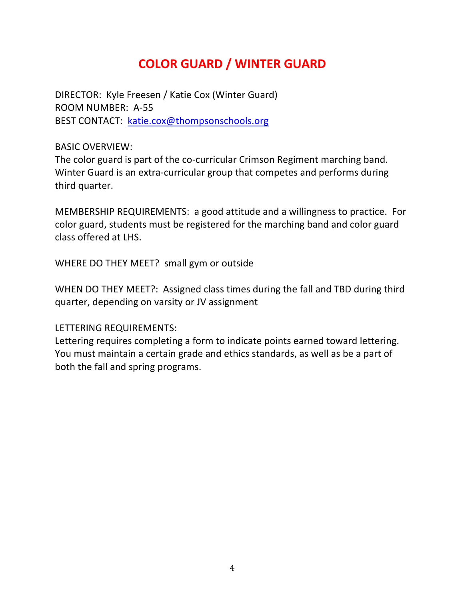### **COLOR GUARD / WINTER GUARD**

DIRECTOR: Kyle Freesen / Katie Cox (Winter Guard) ROOM NUMBER: A-55 BEST CONTACT: katie.cox@thompsonschools.org

BASIC OVERVIEW:

The color guard is part of the co-curricular Crimson Regiment marching band. Winter Guard is an extra-curricular group that competes and performs during third quarter.

MEMBERSHIP REQUIREMENTS: a good attitude and a willingness to practice. For color guard, students must be registered for the marching band and color guard class offered at LHS.

WHERE DO THEY MEET? small gym or outside

WHEN DO THEY MEET?: Assigned class times during the fall and TBD during third quarter, depending on varsity or JV assignment

LETTERING REQUIREMENTS:

Lettering requires completing a form to indicate points earned toward lettering. You must maintain a certain grade and ethics standards, as well as be a part of both the fall and spring programs.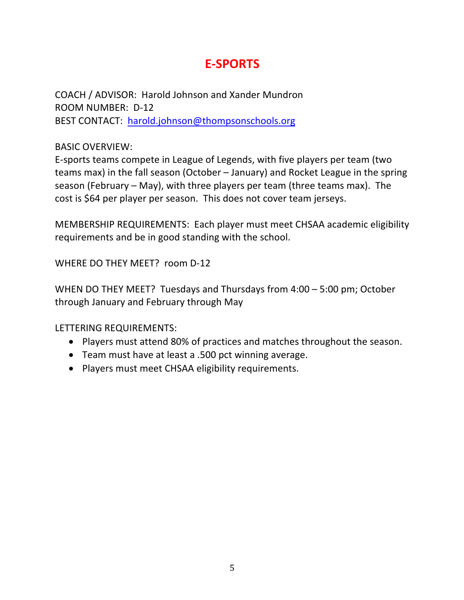### **E-SPORTS**

COACH / ADVISOR: Harold Johnson and Xander Mundron ROOM NUMBER: D-12 BEST CONTACT: harold.johnson@thompsonschools.org

#### BASIC OVERVIEW:

E-sports teams compete in League of Legends, with five players per team (two teams max) in the fall season (October – January) and Rocket League in the spring season (February – May), with three players per team (three teams max). The cost is \$64 per player per season. This does not cover team jerseys.

MEMBERSHIP REQUIREMENTS: Each player must meet CHSAA academic eligibility requirements and be in good standing with the school.

WHERE DO THEY MEET? room D-12

WHEN DO THEY MEET? Tuesdays and Thursdays from 4:00 – 5:00 pm; October through January and February through May

- Players must attend 80% of practices and matches throughout the season.
- Team must have at least a .500 pct winning average.
- Players must meet CHSAA eligibility requirements.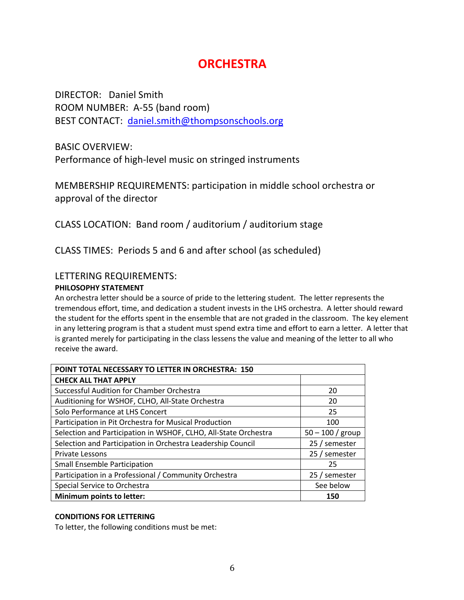### **ORCHESTRA**

DIRECTOR: Daniel Smith ROOM NUMBER: A-55 (band room) BEST CONTACT: daniel.smith@thompsonschools.org

BASIC OVERVIEW:

Performance of high-level music on stringed instruments

MEMBERSHIP REQUIREMENTS: participation in middle school orchestra or approval of the director

CLASS LOCATION: Band room / auditorium / auditorium stage

CLASS TIMES: Periods 5 and 6 and after school (as scheduled)

#### LETTERING REQUIREMENTS:

#### **PHILOSOPHY STATEMENT**

An orchestra letter should be a source of pride to the lettering student. The letter represents the tremendous effort, time, and dedication a student invests in the LHS orchestra. A letter should reward the student for the efforts spent in the ensemble that are not graded in the classroom. The key element in any lettering program is that a student must spend extra time and effort to earn a letter. A letter that is granted merely for participating in the class lessens the value and meaning of the letter to all who receive the award.

| POINT TOTAL NECESSARY TO LETTER IN ORCHESTRA: 150               |                    |  |
|-----------------------------------------------------------------|--------------------|--|
| <b>CHECK ALL THAT APPLY</b>                                     |                    |  |
| Successful Audition for Chamber Orchestra                       | 20                 |  |
| Auditioning for WSHOF, CLHO, All-State Orchestra                | 20                 |  |
| Solo Performance at LHS Concert                                 | 25                 |  |
| Participation in Pit Orchestra for Musical Production           | 100                |  |
| Selection and Participation in WSHOF, CLHO, All-State Orchestra | $50 - 100 /$ group |  |
| Selection and Participation in Orchestra Leadership Council     | 25 / semester      |  |
| <b>Private Lessons</b>                                          | 25 / semester      |  |
| <b>Small Ensemble Participation</b>                             | 25                 |  |
| Participation in a Professional / Community Orchestra           | 25 / semester      |  |
| Special Service to Orchestra                                    | See below          |  |
| Minimum points to letter:                                       | 150                |  |

#### **CONDITIONS FOR LETTERING**

To letter, the following conditions must be met: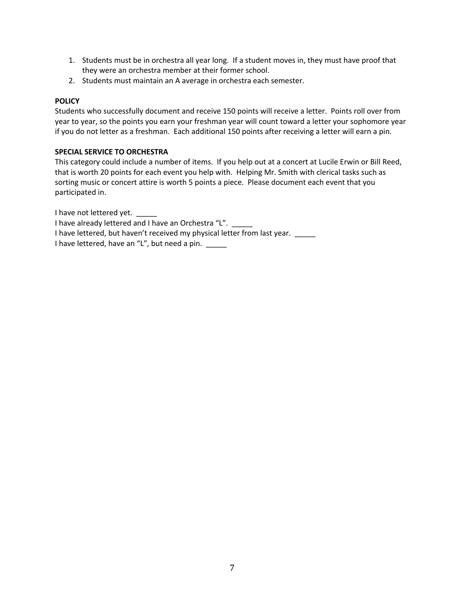- 1. Students must be in orchestra all year long. If a student moves in, they must have proof that they were an orchestra member at their former school.
- 2. Students must maintain an A average in orchestra each semester.

#### **POLICY**

Students who successfully document and receive 150 points will receive a letter. Points roll over from year to year, so the points you earn your freshman year will count toward a letter your sophomore year if you do not letter as a freshman. Each additional 150 points after receiving a letter will earn a pin.

#### **SPECIAL SERVICE TO ORCHESTRA**

This category could include a number of items. If you help out at a concert at Lucile Erwin or Bill Reed, that is worth 20 points for each event you help with. Helping Mr. Smith with clerical tasks such as sorting music or concert attire is worth 5 points a piece. Please document each event that you participated in.

I have not lettered yet.

I have already lettered and I have an Orchestra "L".

I have lettered, but haven't received my physical letter from last year.

I have lettered, have an "L", but need a pin. \_\_\_\_\_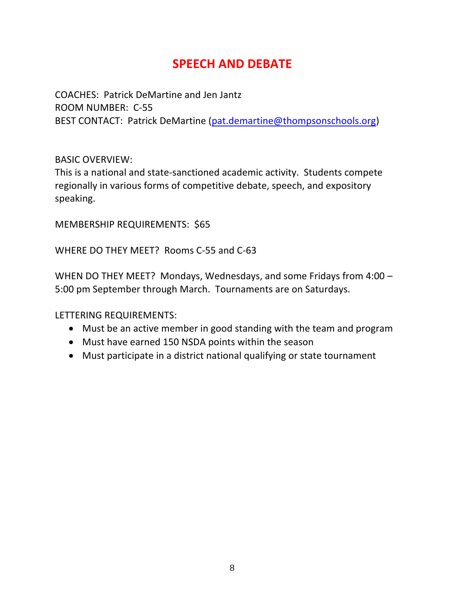### **SPEECH AND DEBATE**

COACHES: Patrick DeMartine and Jen Jantz ROOM NUMBER: C-55 BEST CONTACT: Patrick DeMartine (pat.demartine@thompsonschools.org)

#### BASIC OVERVIEW:

This is a national and state-sanctioned academic activity. Students compete regionally in various forms of competitive debate, speech, and expository speaking.

MEMBERSHIP REQUIREMENTS: \$65

WHERE DO THEY MEET? Rooms C-55 and C-63

WHEN DO THEY MEET? Mondays, Wednesdays, and some Fridays from 4:00 – 5:00 pm September through March. Tournaments are on Saturdays.

- Must be an active member in good standing with the team and program
- Must have earned 150 NSDA points within the season
- Must participate in a district national qualifying or state tournament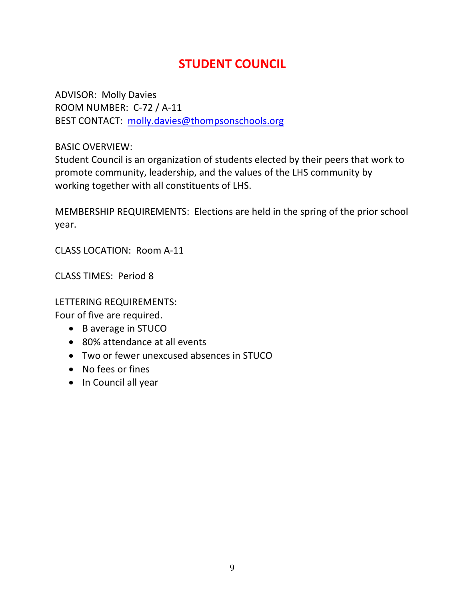### **STUDENT COUNCIL**

ADVISOR: Molly Davies ROOM NUMBER: C-72 / A-11 BEST CONTACT: molly.davies@thompsonschools.org

BASIC OVERVIEW:

Student Council is an organization of students elected by their peers that work to promote community, leadership, and the values of the LHS community by working together with all constituents of LHS.

MEMBERSHIP REQUIREMENTS: Elections are held in the spring of the prior school year.

CLASS LOCATION: Room A-11

CLASS TIMES: Period 8

LETTERING REQUIREMENTS:

Four of five are required.

- B average in STUCO
- 80% attendance at all events
- Two or fewer unexcused absences in STUCO
- No fees or fines
- In Council all year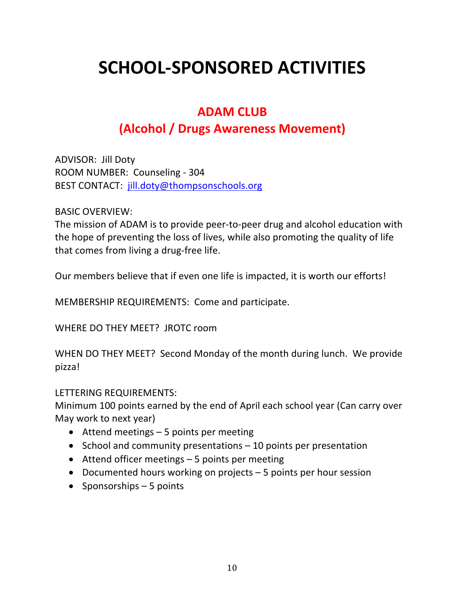# **SCHOOL-SPONSORED ACTIVITIES**

### **ADAM CLUB**

### **(Alcohol / Drugs Awareness Movement)**

ADVISOR: Jill Doty ROOM NUMBER: Counseling - 304 BEST CONTACT: jill.doty@thompsonschools.org

#### BASIC OVERVIEW:

The mission of ADAM is to provide peer-to-peer drug and alcohol education with the hope of preventing the loss of lives, while also promoting the quality of life that comes from living a drug-free life.

Our members believe that if even one life is impacted, it is worth our efforts!

MEMBERSHIP REQUIREMENTS: Come and participate.

WHERE DO THEY MEET? JROTC room

WHEN DO THEY MEET? Second Monday of the month during lunch. We provide pizza!

#### LETTERING REQUIREMENTS:

Minimum 100 points earned by the end of April each school year (Can carry over May work to next year)

- Attend meetings 5 points per meeting
- School and community presentations 10 points per presentation
- Attend officer meetings 5 points per meeting
- Documented hours working on projects 5 points per hour session
- Sponsorships 5 points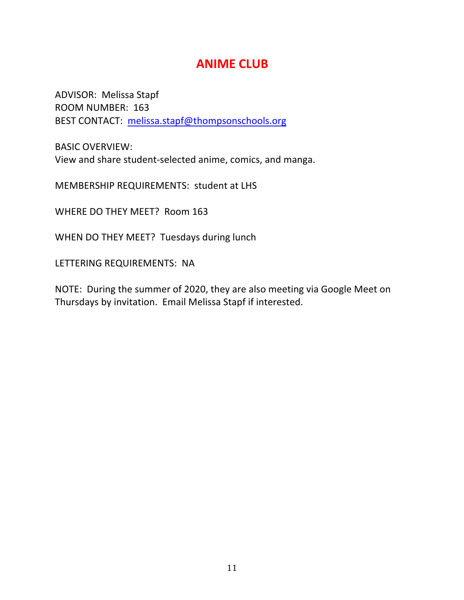### **ANIME CLUB**

ADVISOR: Melissa Stapf ROOM NUMBER: 163 BEST CONTACT: melissa.stapf@thompsonschools.org

BASIC OVERVIEW: View and share student-selected anime, comics, and manga.

MEMBERSHIP REQUIREMENTS: student at LHS

WHERE DO THEY MEET? Room 163

WHEN DO THEY MEET? Tuesdays during lunch

LETTERING REQUIREMENTS: NA

NOTE: During the summer of 2020, they are also meeting via Google Meet on Thursdays by invitation. Email Melissa Stapf if interested.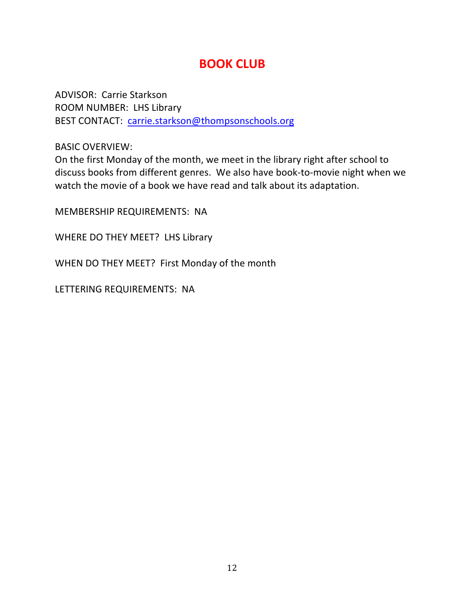### **BOOK CLUB**

ADVISOR: Carrie Starkson ROOM NUMBER: LHS Library BEST CONTACT: carrie.starkson@thompsonschools.org

BASIC OVERVIEW:

On the first Monday of the month, we meet in the library right after school to discuss books from different genres. We also have book-to-movie night when we watch the movie of a book we have read and talk about its adaptation.

MEMBERSHIP REQUIREMENTS: NA

WHERE DO THEY MEET? LHS Library

WHEN DO THEY MEET? First Monday of the month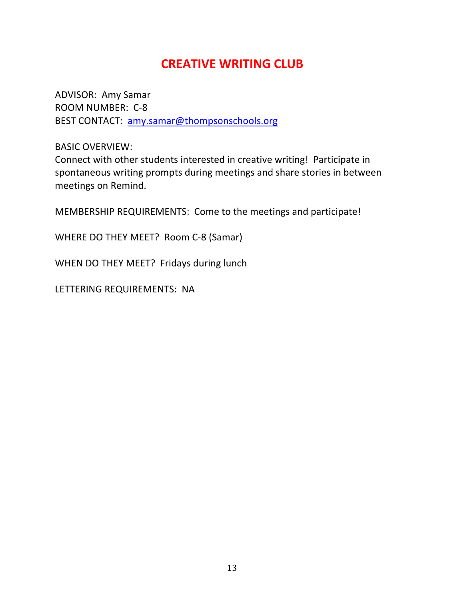### **CREATIVE WRITING CLUB**

ADVISOR: Amy Samar ROOM NUMBER: C-8 BEST CONTACT: amy.samar@thompsonschools.org

BASIC OVERVIEW:

Connect with other students interested in creative writing! Participate in spontaneous writing prompts during meetings and share stories in between meetings on Remind.

MEMBERSHIP REQUIREMENTS: Come to the meetings and participate!

WHERE DO THEY MEET? Room C-8 (Samar)

WHEN DO THEY MEET? Fridays during lunch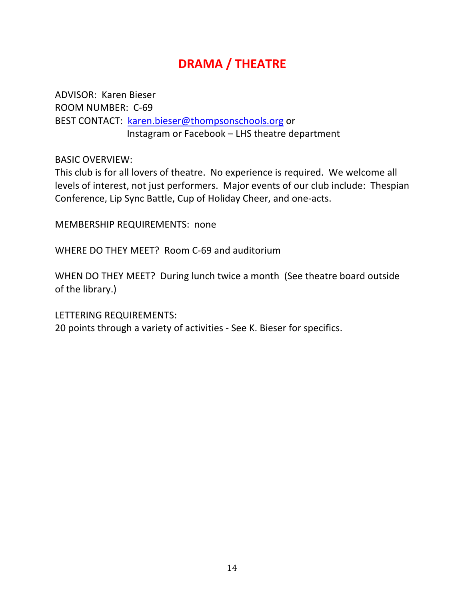### **DRAMA / THEATRE**

ADVISOR: Karen Bieser ROOM NUMBER: C-69 BEST CONTACT: karen.bieser@thompsonschools.org or Instagram or Facebook – LHS theatre department

BASIC OVERVIEW:

This club is for all lovers of theatre. No experience is required. We welcome all levels of interest, not just performers. Major events of our club include: Thespian Conference, Lip Sync Battle, Cup of Holiday Cheer, and one-acts.

MEMBERSHIP REQUIREMENTS: none

WHERE DO THEY MEET? Room C-69 and auditorium

WHEN DO THEY MEET? During lunch twice a month (See theatre board outside of the library.)

LETTERING REQUIREMENTS:

20 points through a variety of activities - See K. Bieser for specifics.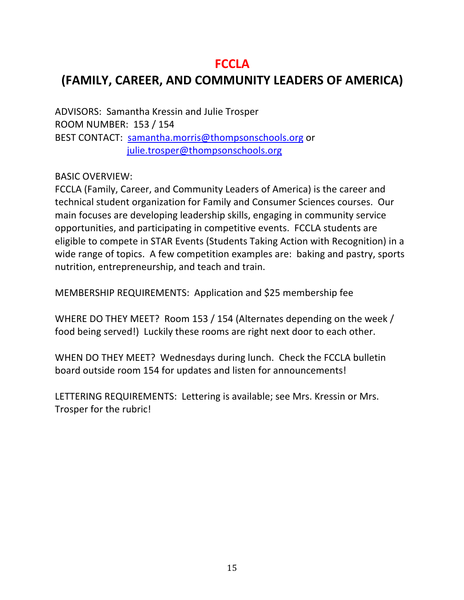### **FCCLA**

### **(FAMILY, CAREER, AND COMMUNITY LEADERS OF AMERICA)**

ADVISORS: Samantha Kressin and Julie Trosper ROOM NUMBER: 153 / 154 BEST CONTACT: samantha.morris@thompsonschools.org or julie.trosper@thompsonschools.org

BASIC OVERVIEW:

FCCLA (Family, Career, and Community Leaders of America) is the career and technical student organization for Family and Consumer Sciences courses. Our main focuses are developing leadership skills, engaging in community service opportunities, and participating in competitive events. FCCLA students are eligible to compete in STAR Events (Students Taking Action with Recognition) in a wide range of topics. A few competition examples are: baking and pastry, sports nutrition, entrepreneurship, and teach and train.

MEMBERSHIP REQUIREMENTS: Application and \$25 membership fee

WHERE DO THEY MEET? Room 153 / 154 (Alternates depending on the week / food being served!) Luckily these rooms are right next door to each other.

WHEN DO THEY MEET? Wednesdays during lunch. Check the FCCLA bulletin board outside room 154 for updates and listen for announcements!

LETTERING REQUIREMENTS: Lettering is available; see Mrs. Kressin or Mrs. Trosper for the rubric!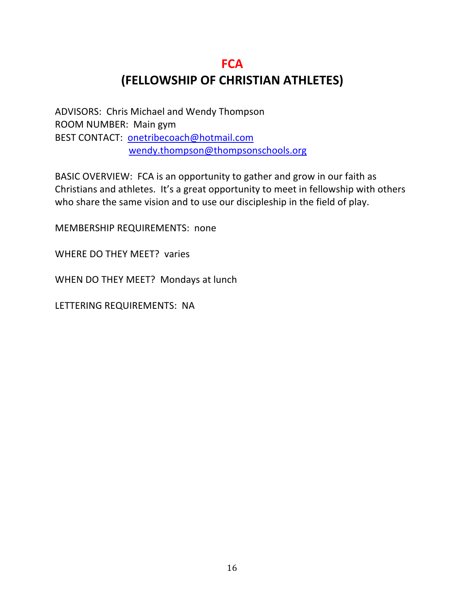### **FCA (FELLOWSHIP OF CHRISTIAN ATHLETES)**

ADVISORS: Chris Michael and Wendy Thompson ROOM NUMBER: Main gym BEST CONTACT: onetribecoach@hotmail.com wendy.thompson@thompsonschools.org

BASIC OVERVIEW: FCA is an opportunity to gather and grow in our faith as Christians and athletes. It's a great opportunity to meet in fellowship with others who share the same vision and to use our discipleship in the field of play.

MEMBERSHIP REQUIREMENTS: none

WHERE DO THEY MEET? varies

WHEN DO THEY MEET? Mondays at lunch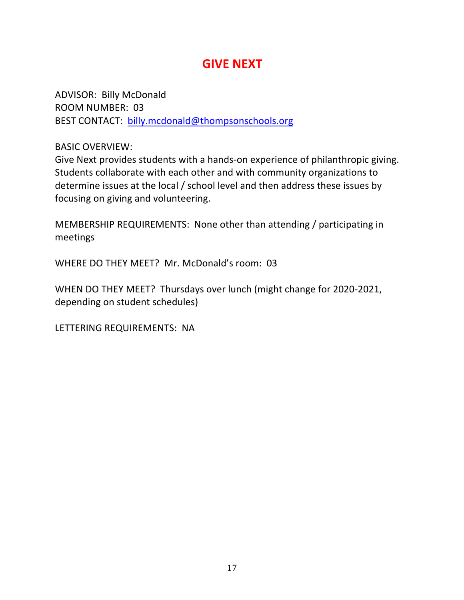### **GIVE NEXT**

ADVISOR: Billy McDonald ROOM NUMBER: 03 BEST CONTACT: billy.mcdonald@thompsonschools.org

BASIC OVERVIEW:

Give Next provides students with a hands-on experience of philanthropic giving. Students collaborate with each other and with community organizations to determine issues at the local / school level and then address these issues by focusing on giving and volunteering.

MEMBERSHIP REQUIREMENTS: None other than attending / participating in meetings

WHERE DO THEY MEET? Mr. McDonald's room: 03

WHEN DO THEY MEET? Thursdays over lunch (might change for 2020-2021, depending on student schedules)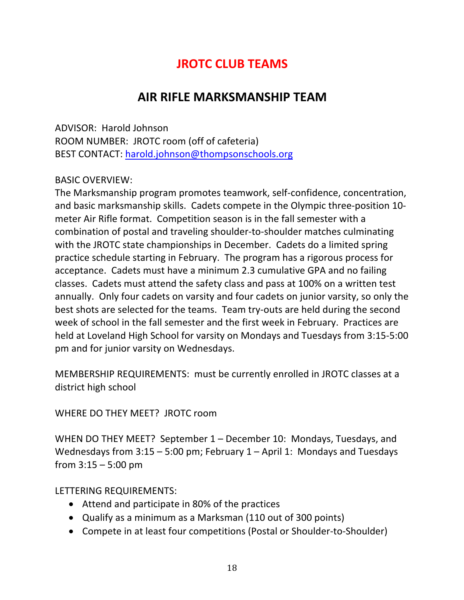### **JROTC CLUB TEAMS**

### **AIR RIFLE MARKSMANSHIP TEAM**

ADVISOR: Harold Johnson ROOM NUMBER: JROTC room (off of cafeteria) BEST CONTACT: harold.johnson@thompsonschools.org

#### BASIC OVERVIEW:

The Marksmanship program promotes teamwork, self-confidence, concentration, and basic marksmanship skills. Cadets compete in the Olympic three-position 10 meter Air Rifle format. Competition season is in the fall semester with a combination of postal and traveling shoulder-to-shoulder matches culminating with the JROTC state championships in December. Cadets do a limited spring practice schedule starting in February. The program has a rigorous process for acceptance. Cadets must have a minimum 2.3 cumulative GPA and no failing classes. Cadets must attend the safety class and pass at 100% on a written test annually. Only four cadets on varsity and four cadets on junior varsity, so only the best shots are selected for the teams. Team try-outs are held during the second week of school in the fall semester and the first week in February. Practices are held at Loveland High School for varsity on Mondays and Tuesdays from 3:15-5:00 pm and for junior varsity on Wednesdays.

MEMBERSHIP REQUIREMENTS: must be currently enrolled in JROTC classes at a district high school

WHERE DO THEY MEET? JROTC room

WHEN DO THEY MEET? September 1 – December 10: Mondays, Tuesdays, and Wednesdays from 3:15 – 5:00 pm; February 1 – April 1: Mondays and Tuesdays from  $3:15 - 5:00$  pm

- Attend and participate in 80% of the practices
- Qualify as a minimum as a Marksman (110 out of 300 points)
- Compete in at least four competitions (Postal or Shoulder-to-Shoulder)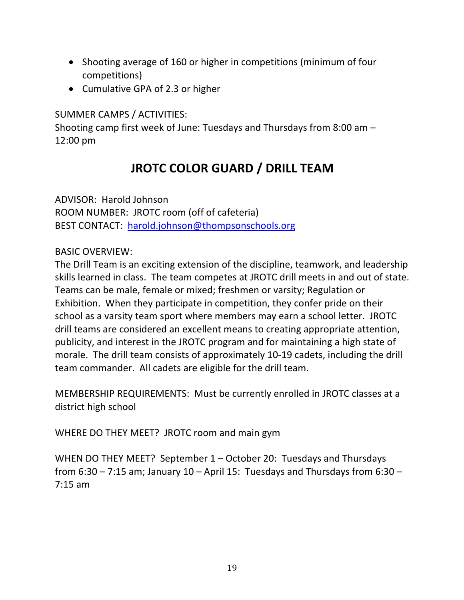- Shooting average of 160 or higher in competitions (minimum of four competitions)
- Cumulative GPA of 2.3 or higher

SUMMER CAMPS / ACTIVITIES:

Shooting camp first week of June: Tuesdays and Thursdays from 8:00 am – 12:00 pm

### **JROTC COLOR GUARD / DRILL TEAM**

ADVISOR: Harold Johnson ROOM NUMBER: JROTC room (off of cafeteria) BEST CONTACT: harold.johnson@thompsonschools.org

### BASIC OVERVIEW:

The Drill Team is an exciting extension of the discipline, teamwork, and leadership skills learned in class. The team competes at JROTC drill meets in and out of state. Teams can be male, female or mixed; freshmen or varsity; Regulation or Exhibition. When they participate in competition, they confer pride on their school as a varsity team sport where members may earn a school letter. JROTC drill teams are considered an excellent means to creating appropriate attention, publicity, and interest in the JROTC program and for maintaining a high state of morale. The drill team consists of approximately 10-19 cadets, including the drill team commander. All cadets are eligible for the drill team.

MEMBERSHIP REQUIREMENTS: Must be currently enrolled in JROTC classes at a district high school

WHERE DO THEY MEET? JROTC room and main gym

WHEN DO THEY MEET? September 1 – October 20: Tuesdays and Thursdays from 6:30 – 7:15 am; January 10 – April 15: Tuesdays and Thursdays from 6:30 – 7:15 am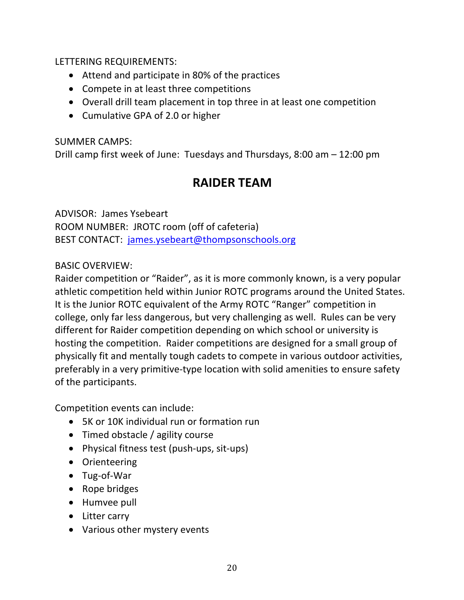LETTERING REQUIREMENTS:

- Attend and participate in 80% of the practices
- Compete in at least three competitions
- Overall drill team placement in top three in at least one competition
- Cumulative GPA of 2.0 or higher

SUMMER CAMPS:

Drill camp first week of June: Tuesdays and Thursdays, 8:00 am – 12:00 pm

### **RAIDER TEAM**

ADVISOR: James Ysebeart ROOM NUMBER: JROTC room (off of cafeteria) BEST CONTACT: james.ysebeart@thompsonschools.org

### BASIC OVERVIEW:

Raider competition or "Raider", as it is more commonly known, is a very popular athletic competition held within Junior ROTC programs around the United States. It is the Junior ROTC equivalent of the Army ROTC "Ranger" competition in college, only far less dangerous, but very challenging as well. Rules can be very different for Raider competition depending on which school or university is hosting the competition. Raider competitions are designed for a small group of physically fit and mentally tough cadets to compete in various outdoor activities, preferably in a very primitive-type location with solid amenities to ensure safety of the participants.

Competition events can include:

- 5K or 10K individual run or formation run
- Timed obstacle / agility course
- Physical fitness test (push-ups, sit-ups)
- Orienteering
- Tug-of-War
- Rope bridges
- Humvee pull
- Litter carry
- Various other mystery events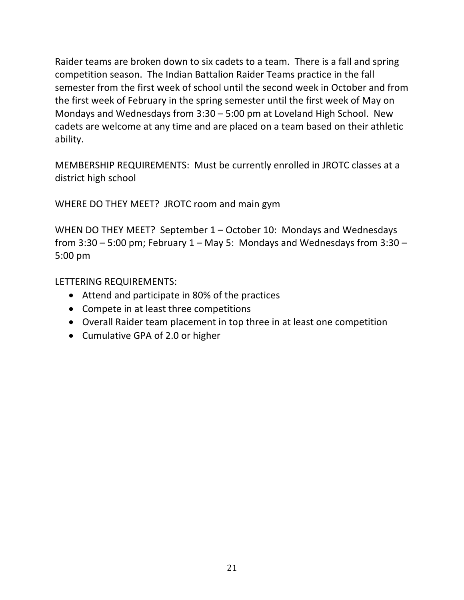Raider teams are broken down to six cadets to a team. There is a fall and spring competition season. The Indian Battalion Raider Teams practice in the fall semester from the first week of school until the second week in October and from the first week of February in the spring semester until the first week of May on Mondays and Wednesdays from 3:30 – 5:00 pm at Loveland High School. New cadets are welcome at any time and are placed on a team based on their athletic ability.

MEMBERSHIP REQUIREMENTS: Must be currently enrolled in JROTC classes at a district high school

WHERE DO THEY MEET? JROTC room and main gym

WHEN DO THEY MEET? September 1 – October 10: Mondays and Wednesdays from  $3:30 - 5:00$  pm; February  $1 -$  May 5: Mondays and Wednesdays from  $3:30 -$ 5:00 pm

- Attend and participate in 80% of the practices
- Compete in at least three competitions
- Overall Raider team placement in top three in at least one competition
- Cumulative GPA of 2.0 or higher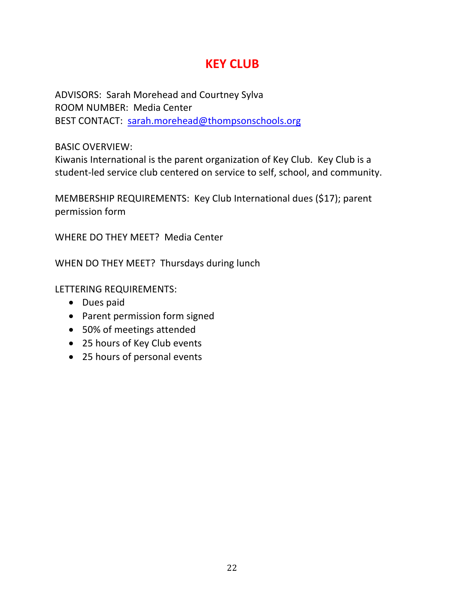### **KEY CLUB**

ADVISORS: Sarah Morehead and Courtney Sylva ROOM NUMBER: Media Center BEST CONTACT: sarah.morehead@thompsonschools.org

BASIC OVERVIEW:

Kiwanis International is the parent organization of Key Club. Key Club is a student-led service club centered on service to self, school, and community.

MEMBERSHIP REQUIREMENTS: Key Club International dues (\$17); parent permission form

WHERE DO THEY MEET? Media Center

WHEN DO THEY MEET? Thursdays during lunch

- Dues paid
- Parent permission form signed
- 50% of meetings attended
- 25 hours of Key Club events
- 25 hours of personal events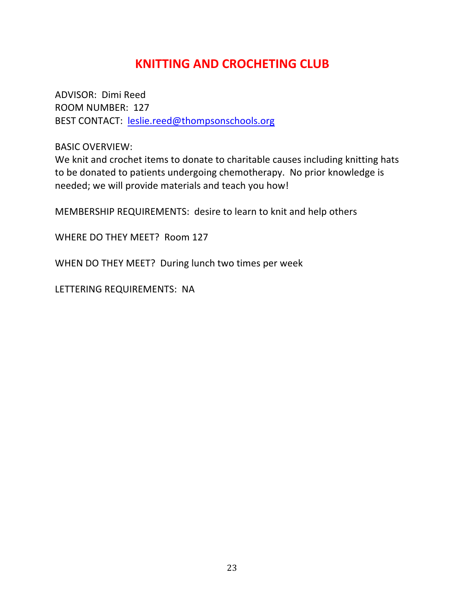### **KNITTING AND CROCHETING CLUB**

ADVISOR: Dimi Reed ROOM NUMBER: 127 BEST CONTACT: leslie.reed@thompsonschools.org

BASIC OVERVIEW:

We knit and crochet items to donate to charitable causes including knitting hats to be donated to patients undergoing chemotherapy. No prior knowledge is needed; we will provide materials and teach you how!

MEMBERSHIP REQUIREMENTS: desire to learn to knit and help others

WHERE DO THEY MEET? Room 127

WHEN DO THEY MEET? During lunch two times per week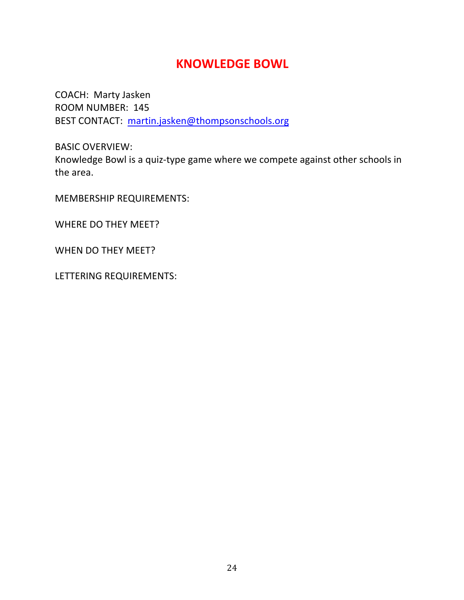### **KNOWLEDGE BOWL**

COACH: Marty Jasken ROOM NUMBER: 145 BEST CONTACT: martin.jasken@thompsonschools.org

BASIC OVERVIEW: Knowledge Bowl is a quiz-type game where we compete against other schools in the area.

MEMBERSHIP REQUIREMENTS:

WHERE DO THEY MEET?

WHEN DO THEY MEET?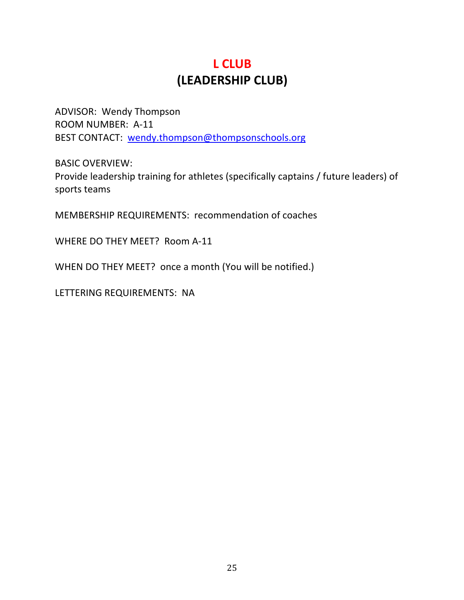### **L CLUB (LEADERSHIP CLUB)**

ADVISOR: Wendy Thompson ROOM NUMBER: A-11 BEST CONTACT: wendy.thompson@thompsonschools.org

BASIC OVERVIEW: Provide leadership training for athletes (specifically captains / future leaders) of sports teams

MEMBERSHIP REQUIREMENTS: recommendation of coaches

WHERE DO THEY MEET? Room A-11

WHEN DO THEY MEET? once a month (You will be notified.)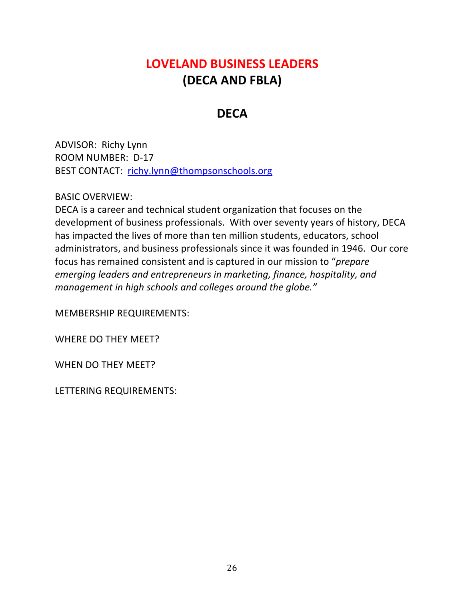### **LOVELAND BUSINESS LEADERS (DECA AND FBLA)**

### **DECA**

ADVISOR: Richy Lynn ROOM NUMBER: D-17 BEST CONTACT: richy.lynn@thompsonschools.org

#### BASIC OVERVIEW:

DECA is a career and technical student organization that focuses on the development of business professionals. With over seventy years of history, DECA has impacted the lives of more than ten million students, educators, school administrators, and business professionals since it was founded in 1946. Our core focus has remained consistent and is captured in our mission to "*prepare emerging leaders and entrepreneurs in marketing, finance, hospitality, and management in high schools and colleges around the globe."*

MEMBERSHIP REQUIREMENTS:

WHERE DO THEY MEET?

WHEN DO THEY MEET?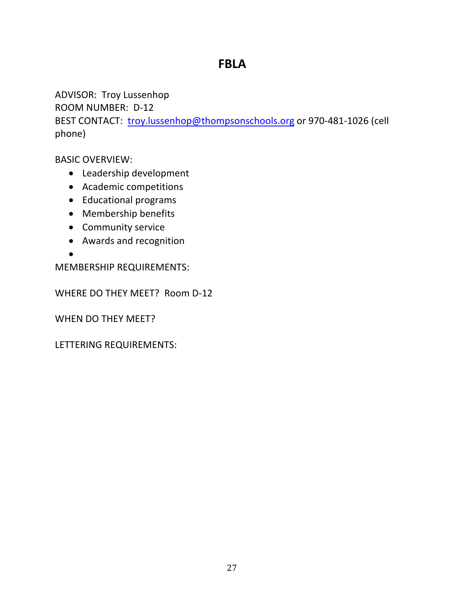### **FBLA**

ADVISOR: Troy Lussenhop

ROOM NUMBER: D-12

BEST CONTACT: troy.lussenhop@thompsonschools.org or 970-481-1026 (cell phone)

BASIC OVERVIEW:

- Leadership development
- Academic competitions
- Educational programs
- Membership benefits
- Community service
- Awards and recognition

•

MEMBERSHIP REQUIREMENTS:

WHERE DO THEY MEET? Room D-12

WHEN DO THEY MEET?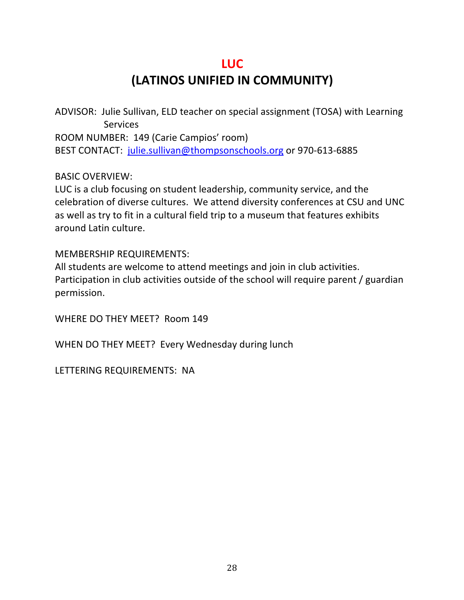### **LUC (LATINOS UNIFIED IN COMMUNITY)**

ADVISOR: Julie Sullivan, ELD teacher on special assignment (TOSA) with Learning **Services** ROOM NUMBER: 149 (Carie Campios' room) BEST CONTACT: julie.sullivan@thompsonschools.org or 970-613-6885

#### BASIC OVERVIEW:

LUC is a club focusing on student leadership, community service, and the celebration of diverse cultures. We attend diversity conferences at CSU and UNC as well as try to fit in a cultural field trip to a museum that features exhibits around Latin culture.

#### MEMBERSHIP REQUIREMENTS:

All students are welcome to attend meetings and join in club activities. Participation in club activities outside of the school will require parent / guardian permission.

WHERE DO THEY MEET? Room 149

WHEN DO THEY MEET? Every Wednesday during lunch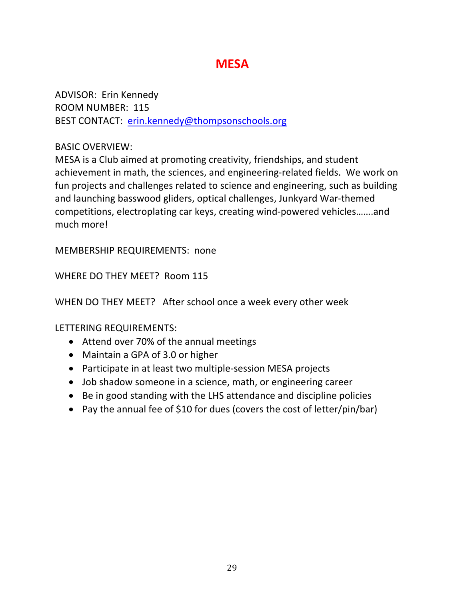### **MESA**

ADVISOR: Erin Kennedy ROOM NUMBER: 115 BEST CONTACT: erin.kennedy@thompsonschools.org

#### BASIC OVERVIEW:

MESA is a Club aimed at promoting creativity, friendships, and student achievement in math, the sciences, and engineering-related fields. We work on fun projects and challenges related to science and engineering, such as building and launching basswood gliders, optical challenges, Junkyard War-themed competitions, electroplating car keys, creating wind-powered vehicles…….and much more!

MEMBERSHIP REQUIREMENTS: none

WHERE DO THEY MEET? Room 115

WHEN DO THEY MEET? After school once a week every other week

- Attend over 70% of the annual meetings
- Maintain a GPA of 3.0 or higher
- Participate in at least two multiple-session MESA projects
- Job shadow someone in a science, math, or engineering career
- Be in good standing with the LHS attendance and discipline policies
- Pay the annual fee of \$10 for dues (covers the cost of letter/pin/bar)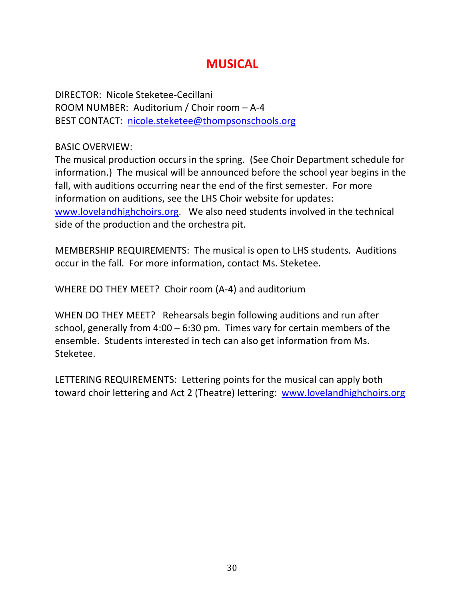### **MUSICAL**

DIRECTOR: Nicole Steketee-Cecillani ROOM NUMBER: Auditorium / Choir room – A-4 BEST CONTACT: nicole.steketee@thompsonschools.org

BASIC OVERVIEW:

The musical production occurs in the spring. (See Choir Department schedule for information.) The musical will be announced before the school year begins in the fall, with auditions occurring near the end of the first semester. For more information on auditions, see the LHS Choir website for updates: www.lovelandhighchoirs.org. We also need students involved in the technical side of the production and the orchestra pit.

MEMBERSHIP REQUIREMENTS: The musical is open to LHS students. Auditions occur in the fall. For more information, contact Ms. Steketee.

WHERE DO THEY MEET? Choir room (A-4) and auditorium

WHEN DO THEY MEET? Rehearsals begin following auditions and run after school, generally from 4:00 – 6:30 pm. Times vary for certain members of the ensemble. Students interested in tech can also get information from Ms. Steketee.

LETTERING REQUIREMENTS: Lettering points for the musical can apply both toward choir lettering and Act 2 (Theatre) lettering: www.lovelandhighchoirs.org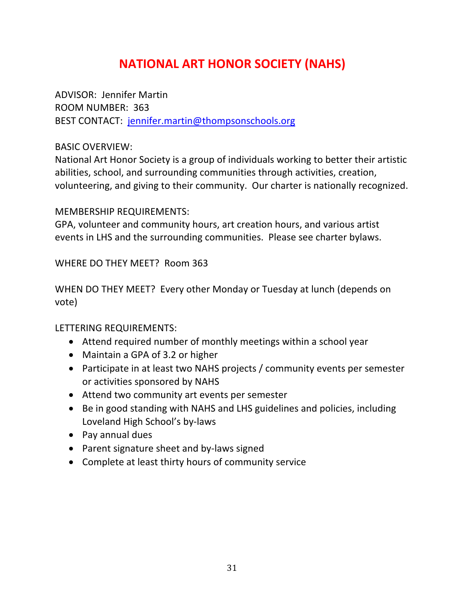### **NATIONAL ART HONOR SOCIETY (NAHS)**

ADVISOR: Jennifer Martin ROOM NUMBER: 363 BEST CONTACT: jennifer.martin@thompsonschools.org

#### BASIC OVERVIEW:

National Art Honor Society is a group of individuals working to better their artistic abilities, school, and surrounding communities through activities, creation, volunteering, and giving to their community. Our charter is nationally recognized.

### MEMBERSHIP REQUIREMENTS:

GPA, volunteer and community hours, art creation hours, and various artist events in LHS and the surrounding communities. Please see charter bylaws.

### WHERE DO THEY MEET? Room 363

WHEN DO THEY MEET? Every other Monday or Tuesday at lunch (depends on vote)

- Attend required number of monthly meetings within a school year
- Maintain a GPA of 3.2 or higher
- Participate in at least two NAHS projects / community events per semester or activities sponsored by NAHS
- Attend two community art events per semester
- Be in good standing with NAHS and LHS guidelines and policies, including Loveland High School's by-laws
- Pay annual dues
- Parent signature sheet and by-laws signed
- Complete at least thirty hours of community service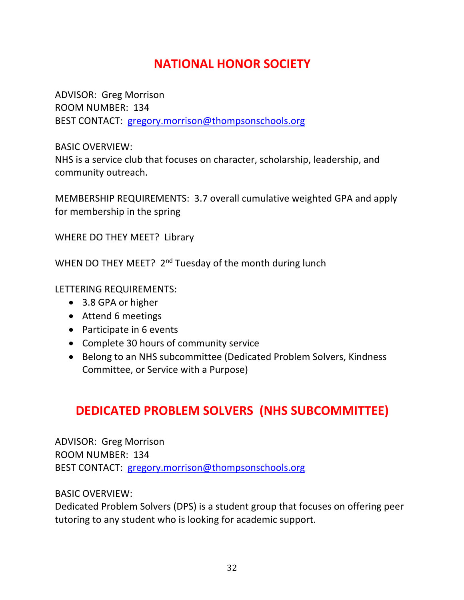### **NATIONAL HONOR SOCIETY**

ADVISOR: Greg Morrison ROOM NUMBER: 134 BEST CONTACT: gregory.morrison@thompsonschools.org

BASIC OVERVIEW:

NHS is a service club that focuses on character, scholarship, leadership, and community outreach.

MEMBERSHIP REQUIREMENTS: 3.7 overall cumulative weighted GPA and apply for membership in the spring

WHERE DO THEY MEET? Library

WHEN DO THEY MEET? 2<sup>nd</sup> Tuesday of the month during lunch

LETTERING REQUIREMENTS:

- 3.8 GPA or higher
- Attend 6 meetings
- Participate in 6 events
- Complete 30 hours of community service
- Belong to an NHS subcommittee (Dedicated Problem Solvers, Kindness Committee, or Service with a Purpose)

### **DEDICATED PROBLEM SOLVERS (NHS SUBCOMMITTEE)**

ADVISOR: Greg Morrison ROOM NUMBER: 134 BEST CONTACT: gregory.morrison@thompsonschools.org

BASIC OVERVIEW:

Dedicated Problem Solvers (DPS) is a student group that focuses on offering peer tutoring to any student who is looking for academic support.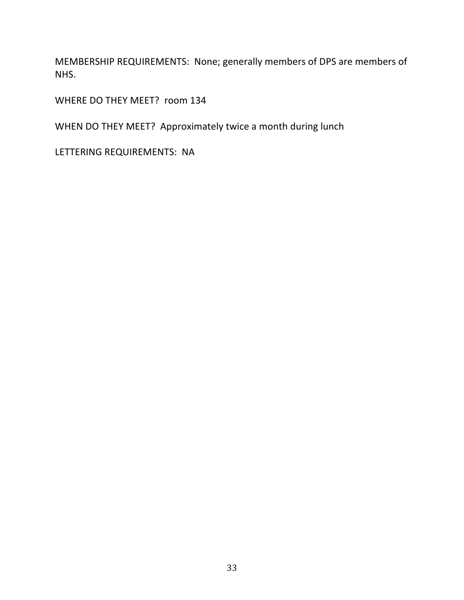MEMBERSHIP REQUIREMENTS: None; generally members of DPS are members of NHS.

WHERE DO THEY MEET? room 134

WHEN DO THEY MEET? Approximately twice a month during lunch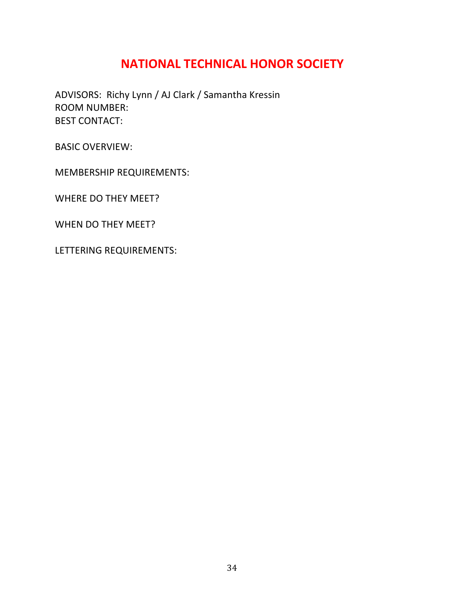### **NATIONAL TECHNICAL HONOR SOCIETY**

ADVISORS: Richy Lynn / AJ Clark / Samantha Kressin ROOM NUMBER: BEST CONTACT:

BASIC OVERVIEW:

MEMBERSHIP REQUIREMENTS:

WHERE DO THEY MEET?

WHEN DO THEY MEET?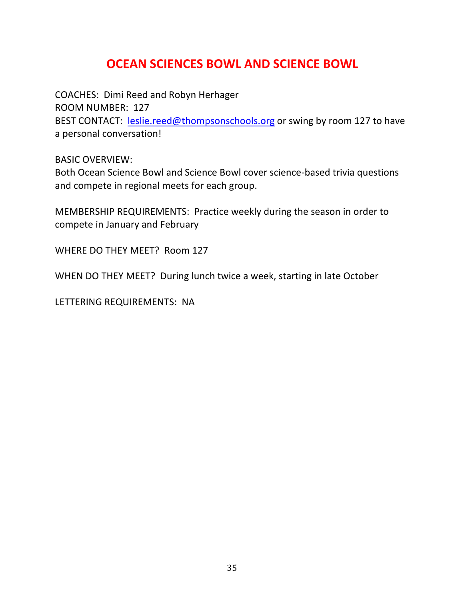### **OCEAN SCIENCES BOWL AND SCIENCE BOWL**

COACHES: Dimi Reed and Robyn Herhager ROOM NUMBER: 127 BEST CONTACT: leslie.reed@thompsonschools.org or swing by room 127 to have a personal conversation!

BASIC OVERVIEW:

Both Ocean Science Bowl and Science Bowl cover science-based trivia questions and compete in regional meets for each group.

MEMBERSHIP REQUIREMENTS: Practice weekly during the season in order to compete in January and February

WHERE DO THEY MEET? Room 127

WHEN DO THEY MEET? During lunch twice a week, starting in late October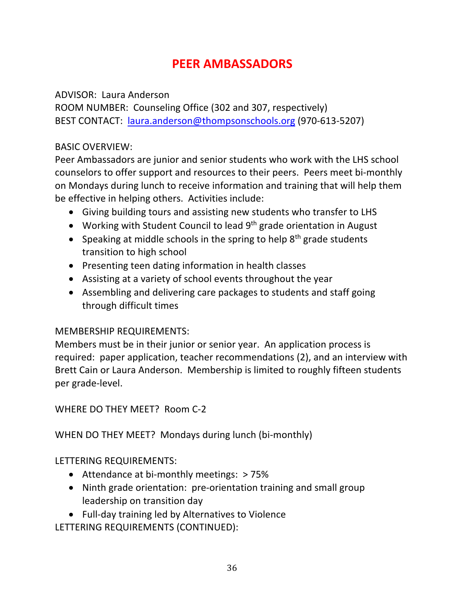### **PEER AMBASSADORS**

#### ADVISOR: Laura Anderson

ROOM NUMBER: Counseling Office (302 and 307, respectively) BEST CONTACT: laura.anderson@thompsonschools.org (970-613-5207)

#### BASIC OVERVIEW:

Peer Ambassadors are junior and senior students who work with the LHS school counselors to offer support and resources to their peers. Peers meet bi-monthly on Mondays during lunch to receive information and training that will help them be effective in helping others. Activities include:

- Giving building tours and assisting new students who transfer to LHS
- Working with Student Council to lead 9<sup>th</sup> grade orientation in August
- Speaking at middle schools in the spring to help  $8<sup>th</sup>$  grade students transition to high school
- Presenting teen dating information in health classes
- Assisting at a variety of school events throughout the year
- Assembling and delivering care packages to students and staff going through difficult times

### MEMBERSHIP REQUIREMENTS:

Members must be in their junior or senior year. An application process is required: paper application, teacher recommendations (2), and an interview with Brett Cain or Laura Anderson. Membership is limited to roughly fifteen students per grade-level.

WHERE DO THEY MEET? Room C-2

WHEN DO THEY MEET? Mondays during lunch (bi-monthly)

LETTERING REQUIREMENTS:

- Attendance at bi-monthly meetings: > 75%
- Ninth grade orientation: pre-orientation training and small group leadership on transition day
- Full-day training led by Alternatives to Violence

LETTERING REQUIREMENTS (CONTINUED):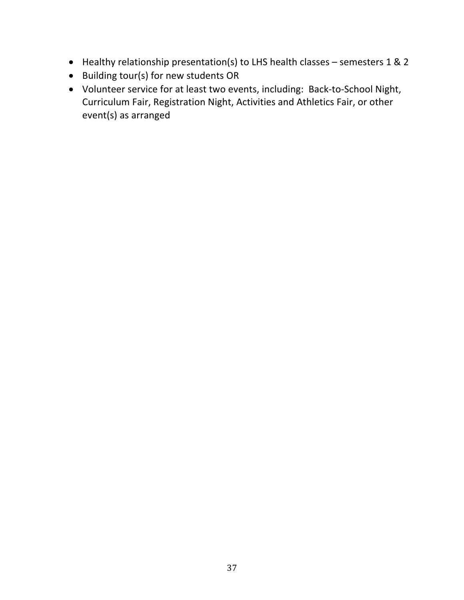- Healthy relationship presentation(s) to LHS health classes semesters 1 & 2
- Building tour(s) for new students OR
- Volunteer service for at least two events, including: Back-to-School Night, Curriculum Fair, Registration Night, Activities and Athletics Fair, or other event(s) as arranged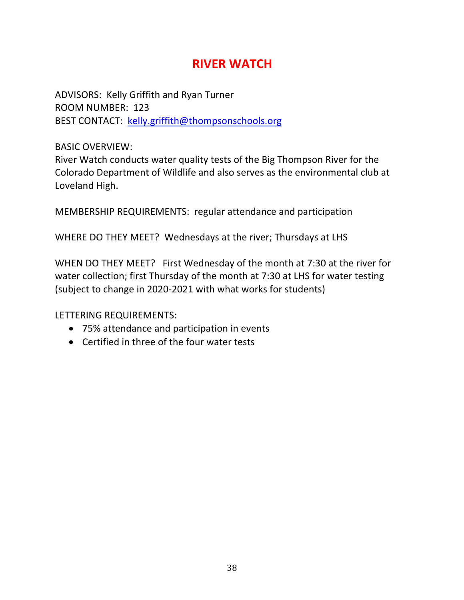### **RIVER WATCH**

ADVISORS: Kelly Griffith and Ryan Turner ROOM NUMBER: 123 BEST CONTACT: kelly.griffith@thompsonschools.org

BASIC OVERVIEW:

River Watch conducts water quality tests of the Big Thompson River for the Colorado Department of Wildlife and also serves as the environmental club at Loveland High.

MEMBERSHIP REQUIREMENTS: regular attendance and participation

WHERE DO THEY MEET? Wednesdays at the river; Thursdays at LHS

WHEN DO THEY MEET? First Wednesday of the month at 7:30 at the river for water collection; first Thursday of the month at 7:30 at LHS for water testing (subject to change in 2020-2021 with what works for students)

- 75% attendance and participation in events
- Certified in three of the four water tests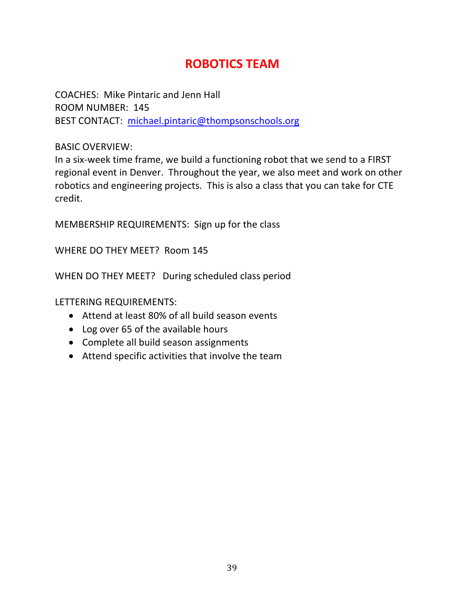### **ROBOTICS TEAM**

COACHES: Mike Pintaric and Jenn Hall ROOM NUMBER: 145 BEST CONTACT: michael.pintaric@thompsonschools.org

#### BASIC OVERVIEW:

In a six-week time frame, we build a functioning robot that we send to a FIRST regional event in Denver. Throughout the year, we also meet and work on other robotics and engineering projects. This is also a class that you can take for CTE credit.

MEMBERSHIP REQUIREMENTS: Sign up for the class

WHERE DO THEY MEET? Room 145

WHEN DO THEY MEET? During scheduled class period

- Attend at least 80% of all build season events
- Log over 65 of the available hours
- Complete all build season assignments
- Attend specific activities that involve the team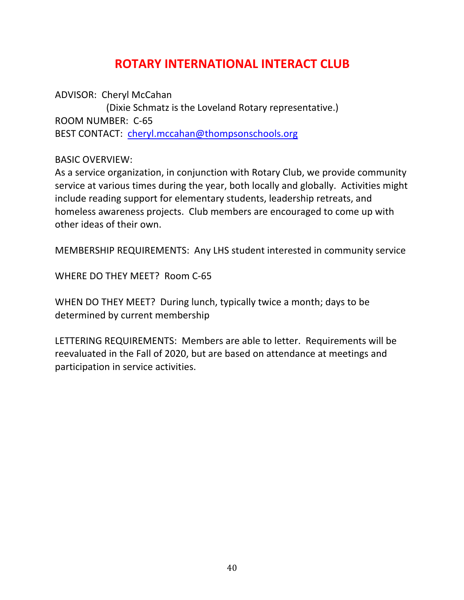### **ROTARY INTERNATIONAL INTERACT CLUB**

ADVISOR: Cheryl McCahan (Dixie Schmatz is the Loveland Rotary representative.) ROOM NUMBER: C-65 BEST CONTACT: cheryl.mccahan@thompsonschools.org

BASIC OVERVIEW:

As a service organization, in conjunction with Rotary Club, we provide community service at various times during the year, both locally and globally. Activities might include reading support for elementary students, leadership retreats, and homeless awareness projects. Club members are encouraged to come up with other ideas of their own.

MEMBERSHIP REQUIREMENTS: Any LHS student interested in community service

WHERE DO THEY MEET? Room C-65

WHEN DO THEY MEET? During lunch, typically twice a month; days to be determined by current membership

LETTERING REQUIREMENTS: Members are able to letter. Requirements will be reevaluated in the Fall of 2020, but are based on attendance at meetings and participation in service activities.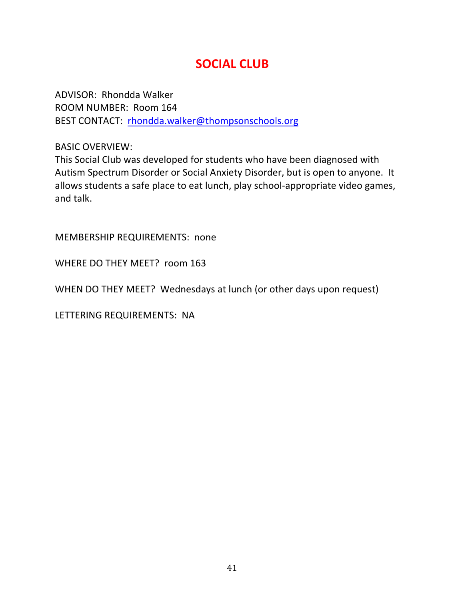### **SOCIAL CLUB**

ADVISOR: Rhondda Walker ROOM NUMBER: Room 164 BEST CONTACT: rhondda.walker@thompsonschools.org

BASIC OVERVIEW:

This Social Club was developed for students who have been diagnosed with Autism Spectrum Disorder or Social Anxiety Disorder, but is open to anyone. It allows students a safe place to eat lunch, play school-appropriate video games, and talk.

MEMBERSHIP REQUIREMENTS: none

WHERE DO THEY MEET? room 163

WHEN DO THEY MEET? Wednesdays at lunch (or other days upon request)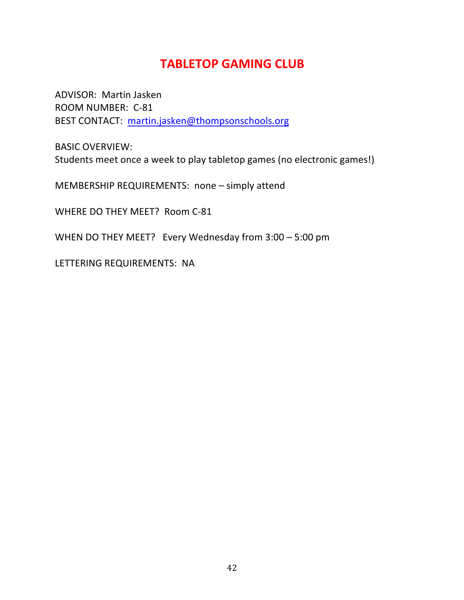### **TABLETOP GAMING CLUB**

ADVISOR: Martin Jasken ROOM NUMBER: C-81 BEST CONTACT: martin.jasken@thompsonschools.org

BASIC OVERVIEW: Students meet once a week to play tabletop games (no electronic games!)

MEMBERSHIP REQUIREMENTS: none – simply attend

WHERE DO THEY MEET? Room C-81

WHEN DO THEY MEET? Every Wednesday from 3:00 – 5:00 pm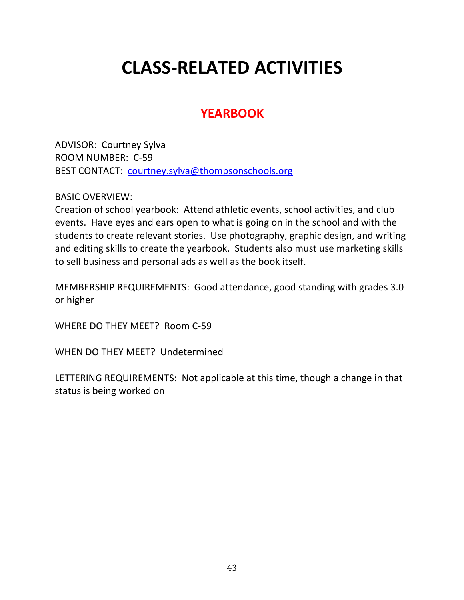# **CLASS-RELATED ACTIVITIES**

### **YEARBOOK**

ADVISOR: Courtney Sylva ROOM NUMBER: C-59 BEST CONTACT: courtney.sylva@thompsonschools.org

BASIC OVERVIEW:

Creation of school yearbook: Attend athletic events, school activities, and club events. Have eyes and ears open to what is going on in the school and with the students to create relevant stories. Use photography, graphic design, and writing and editing skills to create the yearbook. Students also must use marketing skills to sell business and personal ads as well as the book itself.

MEMBERSHIP REQUIREMENTS: Good attendance, good standing with grades 3.0 or higher

WHERE DO THEY MEET? Room C-59

WHEN DO THEY MEET? Undetermined

LETTERING REQUIREMENTS: Not applicable at this time, though a change in that status is being worked on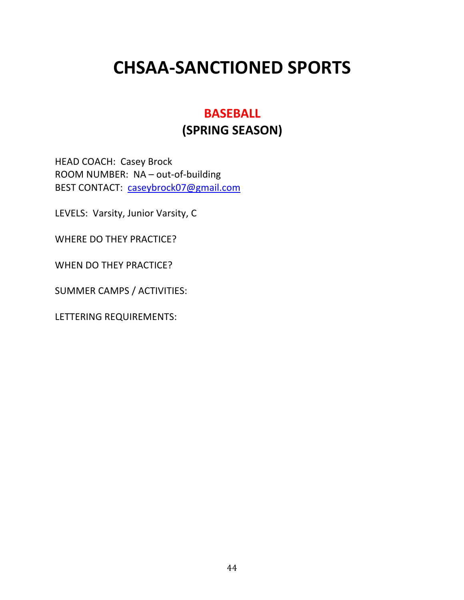# **CHSAA-SANCTIONED SPORTS**

### **BASEBALL (SPRING SEASON)**

HEAD COACH: Casey Brock ROOM NUMBER: NA – out-of-building BEST CONTACT: caseybrock07@gmail.com

LEVELS: Varsity, Junior Varsity, C

WHERE DO THEY PRACTICE?

WHEN DO THEY PRACTICE?

SUMMER CAMPS / ACTIVITIES: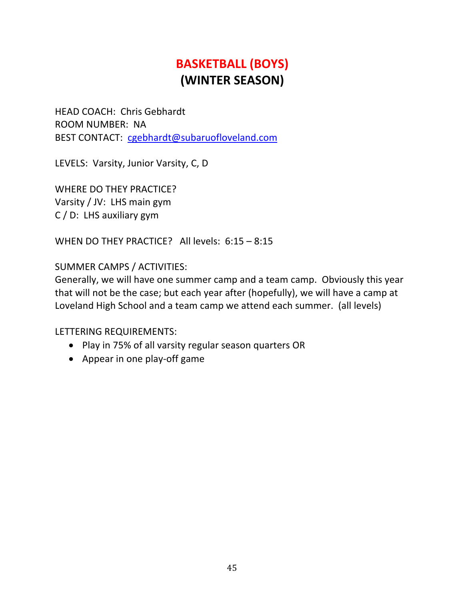## **BASKETBALL (BOYS) (WINTER SEASON)**

HEAD COACH: Chris Gebhardt ROOM NUMBER: NA BEST CONTACT: cgebhardt@subaruofloveland.com

LEVELS: Varsity, Junior Varsity, C, D

WHERE DO THEY PRACTICE? Varsity / JV: LHS main gym C / D: LHS auxiliary gym

WHEN DO THEY PRACTICE? All levels: 6:15 – 8:15

#### SUMMER CAMPS / ACTIVITIES:

Generally, we will have one summer camp and a team camp. Obviously this year that will not be the case; but each year after (hopefully), we will have a camp at Loveland High School and a team camp we attend each summer. (all levels)

- Play in 75% of all varsity regular season quarters OR
- Appear in one play-off game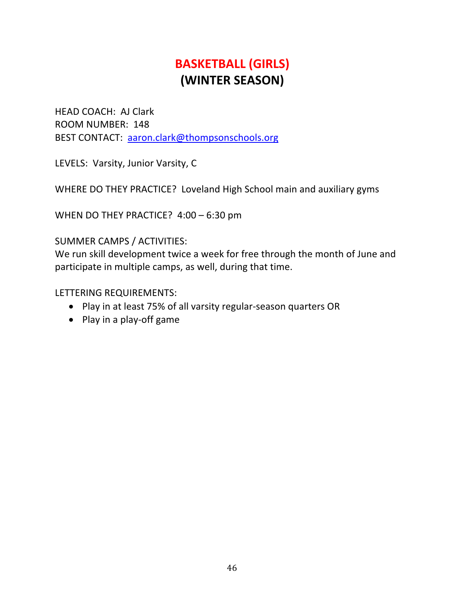## **BASKETBALL (GIRLS) (WINTER SEASON)**

HEAD COACH: AJ Clark ROOM NUMBER: 148 BEST CONTACT: aaron.clark@thompsonschools.org

LEVELS: Varsity, Junior Varsity, C

WHERE DO THEY PRACTICE? Loveland High School main and auxiliary gyms

WHEN DO THEY PRACTICE? 4:00 – 6:30 pm

#### SUMMER CAMPS / ACTIVITIES:

We run skill development twice a week for free through the month of June and participate in multiple camps, as well, during that time.

- Play in at least 75% of all varsity regular-season quarters OR
- Play in a play-off game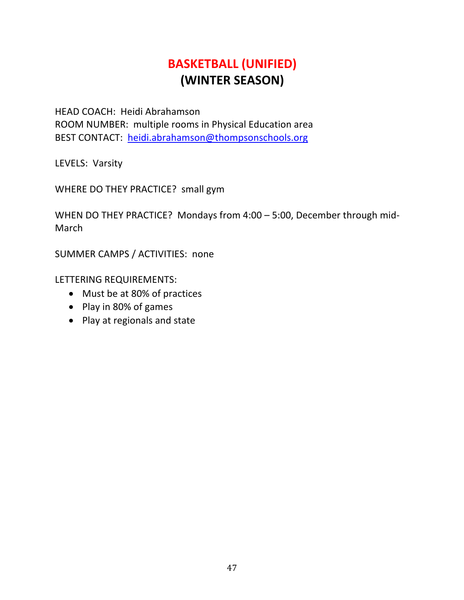### **BASKETBALL (UNIFIED) (WINTER SEASON)**

HEAD COACH: Heidi Abrahamson ROOM NUMBER: multiple rooms in Physical Education area BEST CONTACT: heidi.abrahamson@thompsonschools.org

LEVELS: Varsity

WHERE DO THEY PRACTICE? small gym

WHEN DO THEY PRACTICE? Mondays from 4:00 – 5:00, December through mid-March

SUMMER CAMPS / ACTIVITIES: none

- Must be at 80% of practices
- Play in 80% of games
- Play at regionals and state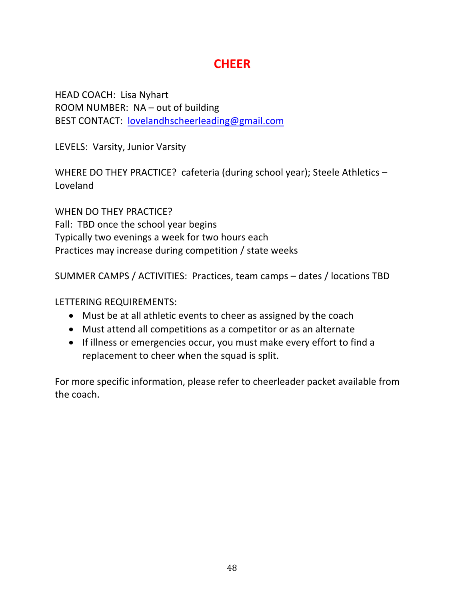### **CHEER**

HEAD COACH: Lisa Nyhart ROOM NUMBER: NA – out of building BEST CONTACT: lovelandhscheerleading@gmail.com

LEVELS: Varsity, Junior Varsity

WHERE DO THEY PRACTICE? cafeteria (during school year); Steele Athletics – Loveland

WHEN DO THEY PRACTICE? Fall: TBD once the school year begins Typically two evenings a week for two hours each Practices may increase during competition / state weeks

SUMMER CAMPS / ACTIVITIES: Practices, team camps – dates / locations TBD

LETTERING REQUIREMENTS:

- Must be at all athletic events to cheer as assigned by the coach
- Must attend all competitions as a competitor or as an alternate
- If illness or emergencies occur, you must make every effort to find a replacement to cheer when the squad is split.

For more specific information, please refer to cheerleader packet available from the coach.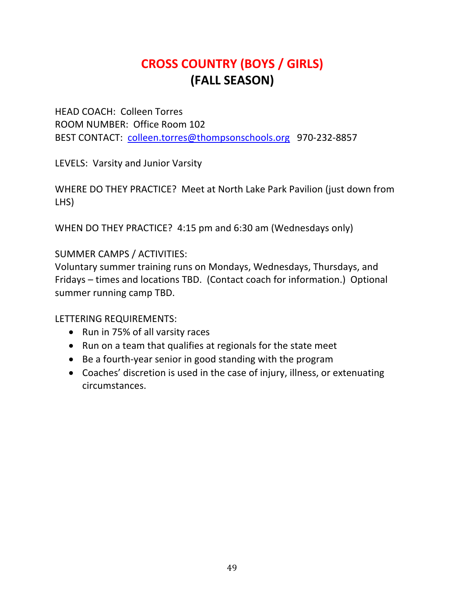### **CROSS COUNTRY (BOYS / GIRLS) (FALL SEASON)**

HEAD COACH: Colleen Torres ROOM NUMBER: Office Room 102 BEST CONTACT: colleen.torres@thompsonschools.org 970-232-8857

LEVELS: Varsity and Junior Varsity

WHERE DO THEY PRACTICE? Meet at North Lake Park Pavilion (just down from LHS)

WHEN DO THEY PRACTICE? 4:15 pm and 6:30 am (Wednesdays only)

### SUMMER CAMPS / ACTIVITIES:

Voluntary summer training runs on Mondays, Wednesdays, Thursdays, and Fridays – times and locations TBD. (Contact coach for information.) Optional summer running camp TBD.

- Run in 75% of all varsity races
- Run on a team that qualifies at regionals for the state meet
- Be a fourth-year senior in good standing with the program
- Coaches' discretion is used in the case of injury, illness, or extenuating circumstances.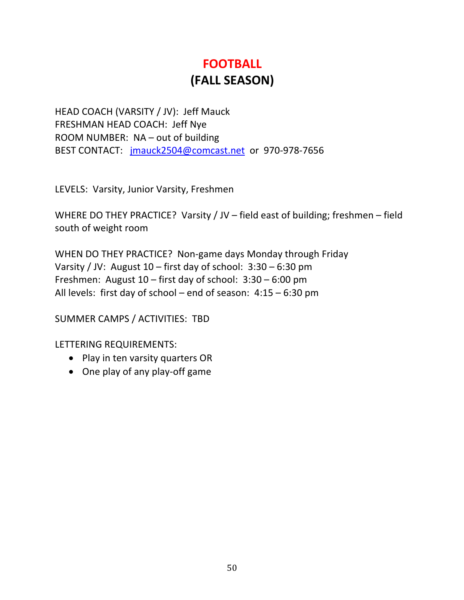## **FOOTBALL (FALL SEASON)**

HEAD COACH (VARSITY / JV): Jeff Mauck FRESHMAN HEAD COACH: Jeff Nye ROOM NUMBER: NA – out of building BEST CONTACT: jmauck2504@comcast.net or 970-978-7656

LEVELS: Varsity, Junior Varsity, Freshmen

WHERE DO THEY PRACTICE? Varsity / JV – field east of building; freshmen – field south of weight room

WHEN DO THEY PRACTICE? Non-game days Monday through Friday Varsity / JV: August 10 – first day of school: 3:30 – 6:30 pm Freshmen: August 10 – first day of school: 3:30 – 6:00 pm All levels: first day of school – end of season: 4:15 – 6:30 pm

SUMMER CAMPS / ACTIVITIES: TBD

- Play in ten varsity quarters OR
- One play of any play-off game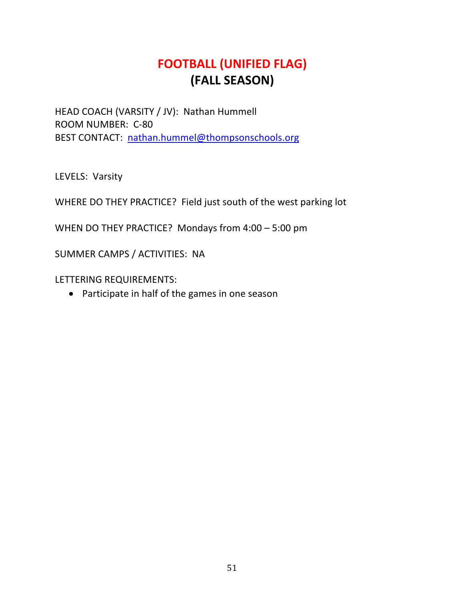### **FOOTBALL (UNIFIED FLAG) (FALL SEASON)**

HEAD COACH (VARSITY / JV): Nathan Hummell ROOM NUMBER: C-80 BEST CONTACT: nathan.hummel@thompsonschools.org

LEVELS: Varsity

WHERE DO THEY PRACTICE? Field just south of the west parking lot

WHEN DO THEY PRACTICE? Mondays from 4:00 – 5:00 pm

SUMMER CAMPS / ACTIVITIES: NA

LETTERING REQUIREMENTS:

• Participate in half of the games in one season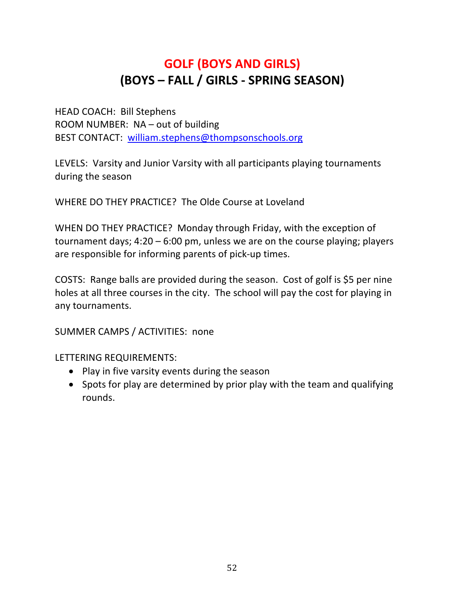### **GOLF (BOYS AND GIRLS) (BOYS – FALL / GIRLS - SPRING SEASON)**

HEAD COACH: Bill Stephens ROOM NUMBER: NA – out of building BEST CONTACT: william.stephens@thompsonschools.org

LEVELS: Varsity and Junior Varsity with all participants playing tournaments during the season

WHERE DO THEY PRACTICE? The Olde Course at Loveland

WHEN DO THEY PRACTICE? Monday through Friday, with the exception of tournament days; 4:20 – 6:00 pm, unless we are on the course playing; players are responsible for informing parents of pick-up times.

COSTS: Range balls are provided during the season. Cost of golf is \$5 per nine holes at all three courses in the city. The school will pay the cost for playing in any tournaments.

SUMMER CAMPS / ACTIVITIES: none

- Play in five varsity events during the season
- Spots for play are determined by prior play with the team and qualifying rounds.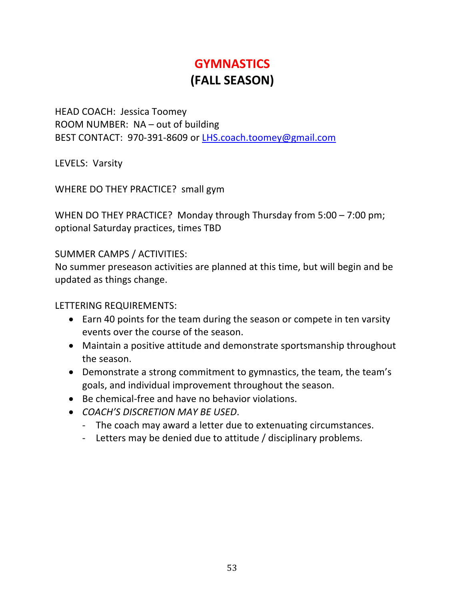## **GYMNASTICS (FALL SEASON)**

HEAD COACH: Jessica Toomey ROOM NUMBER: NA – out of building BEST CONTACT: 970-391-8609 or LHS.coach.toomey@gmail.com

LEVELS: Varsity

WHERE DO THEY PRACTICE? small gym

WHEN DO THEY PRACTICE? Monday through Thursday from 5:00 – 7:00 pm; optional Saturday practices, times TBD

SUMMER CAMPS / ACTIVITIES:

No summer preseason activities are planned at this time, but will begin and be updated as things change.

- Earn 40 points for the team during the season or compete in ten varsity events over the course of the season.
- Maintain a positive attitude and demonstrate sportsmanship throughout the season.
- Demonstrate a strong commitment to gymnastics, the team, the team's goals, and individual improvement throughout the season.
- Be chemical-free and have no behavior violations.
- *COACH'S DISCRETION MAY BE USED*.
	- The coach may award a letter due to extenuating circumstances.
	- Letters may be denied due to attitude / disciplinary problems.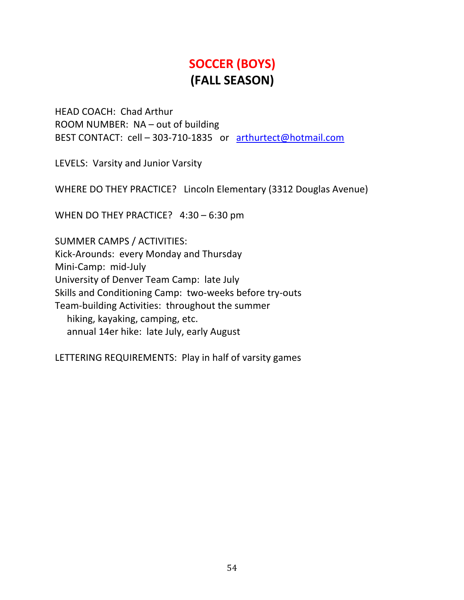## **SOCCER (BOYS) (FALL SEASON)**

HEAD COACH: Chad Arthur ROOM NUMBER: NA – out of building BEST CONTACT: cell – 303-710-1835 or arthurtect@hotmail.com

LEVELS: Varsity and Junior Varsity

WHERE DO THEY PRACTICE? Lincoln Elementary (3312 Douglas Avenue)

WHEN DO THEY PRACTICE? 4:30 - 6:30 pm

SUMMER CAMPS / ACTIVITIES: Kick-Arounds: every Monday and Thursday Mini-Camp: mid-July University of Denver Team Camp: late July Skills and Conditioning Camp: two-weeks before try-outs Team-building Activities: throughout the summer hiking, kayaking, camping, etc. annual 14er hike: late July, early August

LETTERING REQUIREMENTS: Play in half of varsity games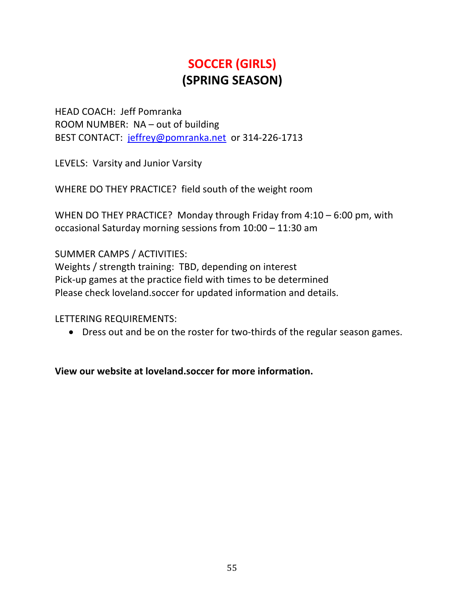## **SOCCER (GIRLS) (SPRING SEASON)**

HEAD COACH: Jeff Pomranka ROOM NUMBER: NA – out of building BEST CONTACT: jeffrey@pomranka.net or 314-226-1713

LEVELS: Varsity and Junior Varsity

WHERE DO THEY PRACTICE? field south of the weight room

WHEN DO THEY PRACTICE? Monday through Friday from 4:10 – 6:00 pm, with occasional Saturday morning sessions from 10:00 – 11:30 am

SUMMER CAMPS / ACTIVITIES:

Weights / strength training: TBD, depending on interest Pick-up games at the practice field with times to be determined Please check loveland.soccer for updated information and details.

LETTERING REQUIREMENTS:

• Dress out and be on the roster for two-thirds of the regular season games.

**View our website at loveland.soccer for more information.**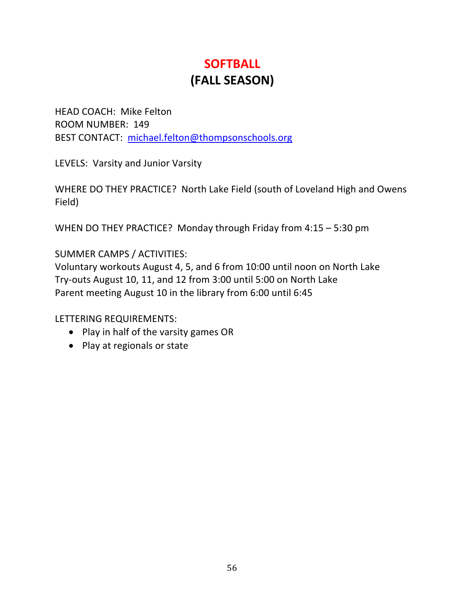## **SOFTBALL (FALL SEASON)**

HEAD COACH: Mike Felton ROOM NUMBER: 149 BEST CONTACT: michael.felton@thompsonschools.org

LEVELS: Varsity and Junior Varsity

WHERE DO THEY PRACTICE? North Lake Field (south of Loveland High and Owens Field)

WHEN DO THEY PRACTICE? Monday through Friday from 4:15 – 5:30 pm

SUMMER CAMPS / ACTIVITIES:

Voluntary workouts August 4, 5, and 6 from 10:00 until noon on North Lake Try-outs August 10, 11, and 12 from 3:00 until 5:00 on North Lake Parent meeting August 10 in the library from 6:00 until 6:45

- Play in half of the varsity games OR
- Play at regionals or state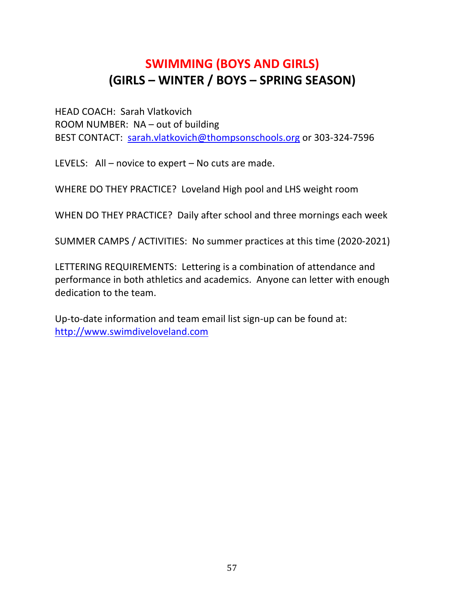### **SWIMMING (BOYS AND GIRLS) (GIRLS – WINTER / BOYS – SPRING SEASON)**

HEAD COACH: Sarah Vlatkovich ROOM NUMBER: NA – out of building BEST CONTACT: sarah.vlatkovich@thompsonschools.org or 303-324-7596

LEVELS: All – novice to expert – No cuts are made.

WHERE DO THEY PRACTICE? Loveland High pool and LHS weight room

WHEN DO THEY PRACTICE? Daily after school and three mornings each week

SUMMER CAMPS / ACTIVITIES: No summer practices at this time (2020-2021)

LETTERING REQUIREMENTS: Lettering is a combination of attendance and performance in both athletics and academics. Anyone can letter with enough dedication to the team.

Up-to-date information and team email list sign-up can be found at: http://www.swimdiveloveland.com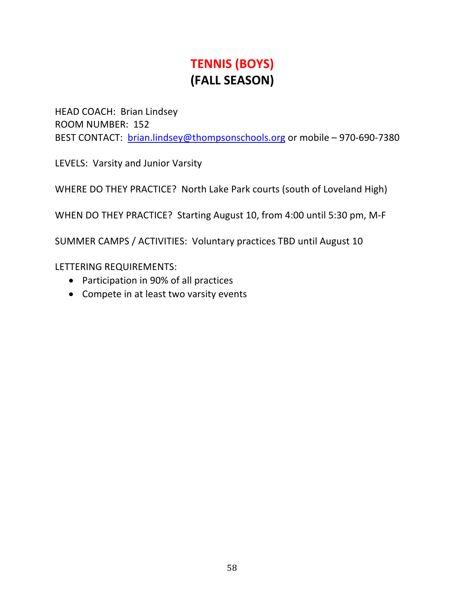### **TENNIS (BOYS) (FALL SEASON)**

HEAD COACH: Brian Lindsey ROOM NUMBER: 152 BEST CONTACT: brian.lindsey@thompsonschools.org or mobile – 970-690-7380

LEVELS: Varsity and Junior Varsity

WHERE DO THEY PRACTICE? North Lake Park courts (south of Loveland High)

WHEN DO THEY PRACTICE? Starting August 10, from 4:00 until 5:30 pm, M-F

SUMMER CAMPS / ACTIVITIES: Voluntary practices TBD until August 10

- Participation in 90% of all practices
- Compete in at least two varsity events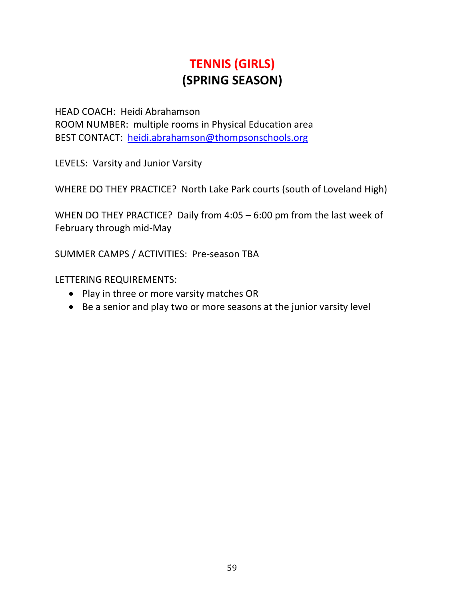## **TENNIS (GIRLS) (SPRING SEASON)**

HEAD COACH: Heidi Abrahamson ROOM NUMBER: multiple rooms in Physical Education area BEST CONTACT: heidi.abrahamson@thompsonschools.org

LEVELS: Varsity and Junior Varsity

WHERE DO THEY PRACTICE? North Lake Park courts (south of Loveland High)

WHEN DO THEY PRACTICE? Daily from 4:05 – 6:00 pm from the last week of February through mid-May

SUMMER CAMPS / ACTIVITIES: Pre-season TBA

- Play in three or more varsity matches OR
- Be a senior and play two or more seasons at the junior varsity level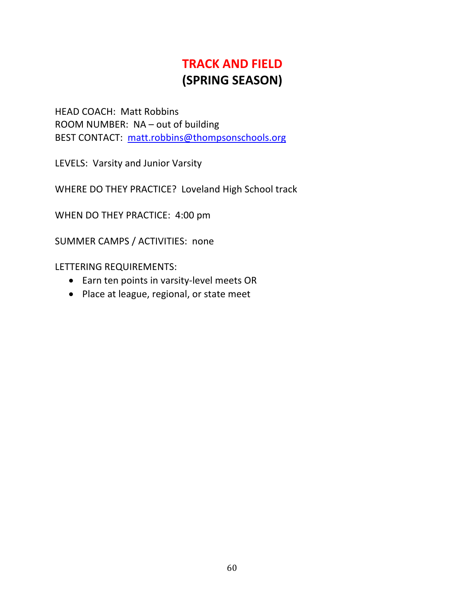## **TRACK AND FIELD (SPRING SEASON)**

HEAD COACH: Matt Robbins ROOM NUMBER: NA – out of building BEST CONTACT: matt.robbins@thompsonschools.org

LEVELS: Varsity and Junior Varsity

WHERE DO THEY PRACTICE? Loveland High School track

WHEN DO THEY PRACTICE: 4:00 pm

SUMMER CAMPS / ACTIVITIES: none

- Earn ten points in varsity-level meets OR
- Place at league, regional, or state meet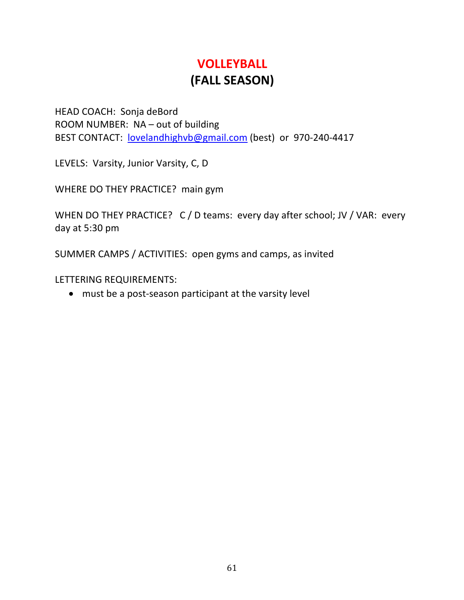### **VOLLEYBALL (FALL SEASON)**

HEAD COACH: Sonja deBord ROOM NUMBER: NA – out of building BEST CONTACT: lovelandhighvb@gmail.com (best) or 970-240-4417

LEVELS: Varsity, Junior Varsity, C, D

WHERE DO THEY PRACTICE? main gym

WHEN DO THEY PRACTICE? C / D teams: every day after school; JV / VAR: every day at 5:30 pm

SUMMER CAMPS / ACTIVITIES: open gyms and camps, as invited

LETTERING REQUIREMENTS:

• must be a post-season participant at the varsity level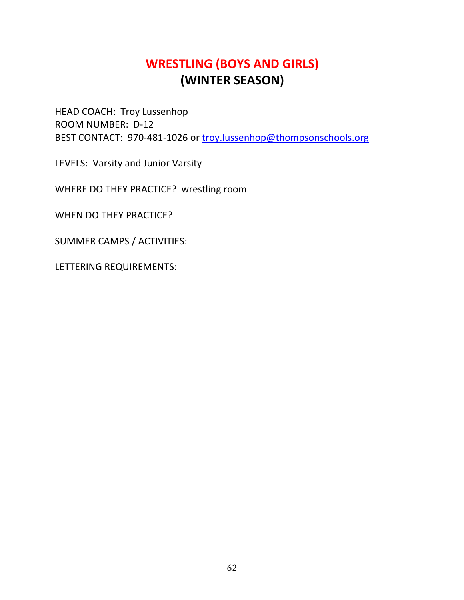### **WRESTLING (BOYS AND GIRLS) (WINTER SEASON)**

HEAD COACH: Troy Lussenhop ROOM NUMBER: D-12 BEST CONTACT: 970-481-1026 or troy.lussenhop@thompsonschools.org

LEVELS: Varsity and Junior Varsity

WHERE DO THEY PRACTICE? wrestling room

WHEN DO THEY PRACTICE?

SUMMER CAMPS / ACTIVITIES: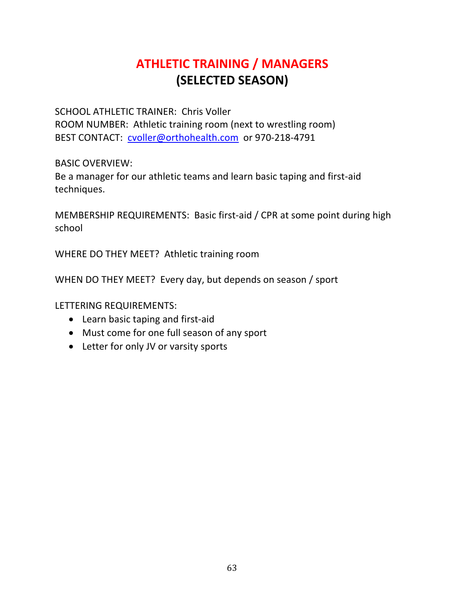### **ATHLETIC TRAINING / MANAGERS (SELECTED SEASON)**

SCHOOL ATHLETIC TRAINER: Chris Voller ROOM NUMBER: Athletic training room (next to wrestling room) BEST CONTACT: cvoller@orthohealth.com or 970-218-4791

BASIC OVERVIEW:

Be a manager for our athletic teams and learn basic taping and first-aid techniques.

MEMBERSHIP REQUIREMENTS: Basic first-aid / CPR at some point during high school

WHERE DO THEY MEET? Athletic training room

WHEN DO THEY MEET? Every day, but depends on season / sport

- Learn basic taping and first-aid
- Must come for one full season of any sport
- Letter for only JV or varsity sports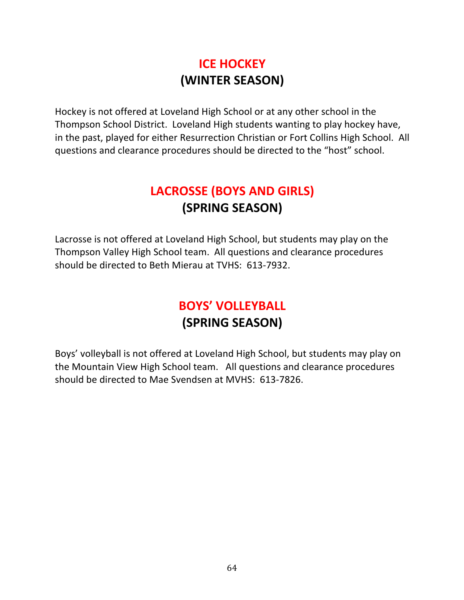### **ICE HOCKEY (WINTER SEASON)**

Hockey is not offered at Loveland High School or at any other school in the Thompson School District. Loveland High students wanting to play hockey have, in the past, played for either Resurrection Christian or Fort Collins High School. All questions and clearance procedures should be directed to the "host" school.

## **LACROSSE (BOYS AND GIRLS) (SPRING SEASON)**

Lacrosse is not offered at Loveland High School, but students may play on the Thompson Valley High School team. All questions and clearance procedures should be directed to Beth Mierau at TVHS: 613-7932.

### **BOYS' VOLLEYBALL (SPRING SEASON)**

Boys' volleyball is not offered at Loveland High School, but students may play on the Mountain View High School team. All questions and clearance procedures should be directed to Mae Svendsen at MVHS: 613-7826.